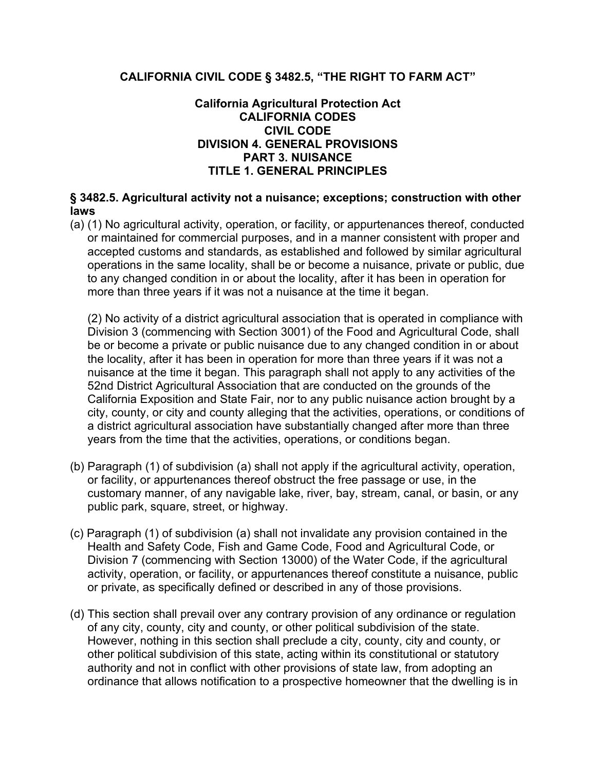# **CALIFORNIA CIVIL CODE § 3482.5, "THE RIGHT TO FARM ACT"**

## **California Agricultural Protection Act CALIFORNIA CODES CIVIL CODE DIVISION 4. GENERAL PROVISIONS PART 3. NUISANCE TITLE 1. GENERAL PRINCIPLES**

# **§ 3482.5. Agricultural activity not a nuisance; exceptions; construction with other laws**

(a) (1) No agricultural activity, operation, or facility, or appurtenances thereof, conducted or maintained for commercial purposes, and in a manner consistent with proper and accepted customs and standards, as established and followed by similar agricultural operations in the same locality, shall be or become a nuisance, private or public, due to any changed condition in or about the locality, after it has been in operation for more than three years if it was not a nuisance at the time it began.

(2) No activity of a district agricultural association that is operated in compliance with Division 3 (commencing with Section 3001) of the Food and Agricultural Code, shall be or become a private or public nuisance due to any changed condition in or about the locality, after it has been in operation for more than three years if it was not a nuisance at the time it began. This paragraph shall not apply to any activities of the 52nd District Agricultural Association that are conducted on the grounds of the California Exposition and State Fair, nor to any public nuisance action brought by a city, county, or city and county alleging that the activities, operations, or conditions of a district agricultural association have substantially changed after more than three years from the time that the activities, operations, or conditions began.

- (b) Paragraph (1) of subdivision (a) shall not apply if the agricultural activity, operation, or facility, or appurtenances thereof obstruct the free passage or use, in the customary manner, of any navigable lake, river, bay, stream, canal, or basin, or any public park, square, street, or highway.
- (c) Paragraph (1) of subdivision (a) shall not invalidate any provision contained in the Health and Safety Code, Fish and Game Code, Food and Agricultural Code, or Division 7 (commencing with Section 13000) of the Water Code, if the agricultural activity, operation, or facility, or appurtenances thereof constitute a nuisance, public or private, as specifically defined or described in any of those provisions.
- (d) This section shall prevail over any contrary provision of any ordinance or regulation of any city, county, city and county, or other political subdivision of the state. However, nothing in this section shall preclude a city, county, city and county, or other political subdivision of this state, acting within its constitutional or statutory authority and not in conflict with other provisions of state law, from adopting an ordinance that allows notification to a prospective homeowner that the dwelling is in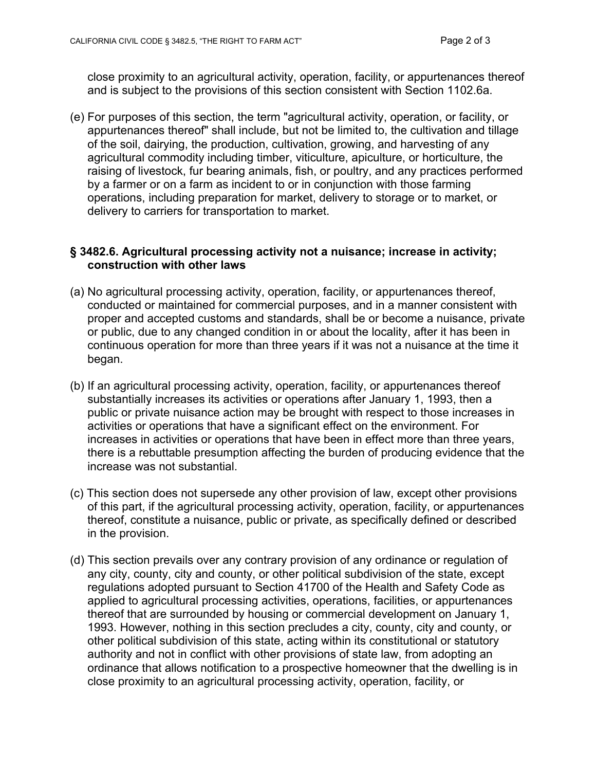close proximity to an agricultural activity, operation, facility, or appurtenances thereof and is subject to the provisions of this section consistent with Section 1102.6a.

(e) For purposes of this section, the term "agricultural activity, operation, or facility, or appurtenances thereof" shall include, but not be limited to, the cultivation and tillage of the soil, dairying, the production, cultivation, growing, and harvesting of any agricultural commodity including timber, viticulture, apiculture, or horticulture, the raising of livestock, fur bearing animals, fish, or poultry, and any practices performed by a farmer or on a farm as incident to or in conjunction with those farming operations, including preparation for market, delivery to storage or to market, or delivery to carriers for transportation to market.

### **§ 3482.6. Agricultural processing activity not a nuisance; increase in activity; construction with other laws**

- (a) No agricultural processing activity, operation, facility, or appurtenances thereof, conducted or maintained for commercial purposes, and in a manner consistent with proper and accepted customs and standards, shall be or become a nuisance, private or public, due to any changed condition in or about the locality, after it has been in continuous operation for more than three years if it was not a nuisance at the time it began.
- (b) If an agricultural processing activity, operation, facility, or appurtenances thereof substantially increases its activities or operations after January 1, 1993, then a public or private nuisance action may be brought with respect to those increases in activities or operations that have a significant effect on the environment. For increases in activities or operations that have been in effect more than three years, there is a rebuttable presumption affecting the burden of producing evidence that the increase was not substantial.
- (c) This section does not supersede any other provision of law, except other provisions of this part, if the agricultural processing activity, operation, facility, or appurtenances thereof, constitute a nuisance, public or private, as specifically defined or described in the provision.
- (d) This section prevails over any contrary provision of any ordinance or regulation of any city, county, city and county, or other political subdivision of the state, except regulations adopted pursuant to Section 41700 of the Health and Safety Code as applied to agricultural processing activities, operations, facilities, or appurtenances thereof that are surrounded by housing or commercial development on January 1, 1993. However, nothing in this section precludes a city, county, city and county, or other political subdivision of this state, acting within its constitutional or statutory authority and not in conflict with other provisions of state law, from adopting an ordinance that allows notification to a prospective homeowner that the dwelling is in close proximity to an agricultural processing activity, operation, facility, or